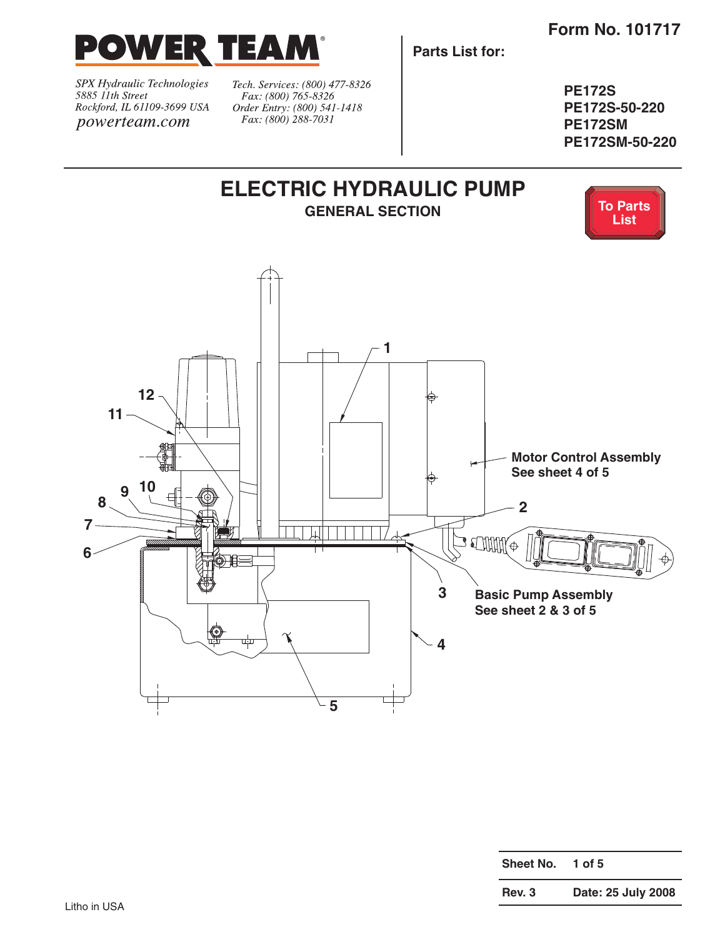

SPX Hydraulic Technologies 5885 11th Street Rockford, IL 61109-3699 USA powerteam.com

Tech. Services: (800) 477-8326 Fax: (800) 765-8326 Order Entry: (800) 541-1418 Fax: (800) 288-7031

**Parts List for:**

**PE172S PE172S-50-220 PE172SM PE172SM-50-220**



| Sheet No. | 1 of 5             |
|-----------|--------------------|
| Rev. 3    | Date: 25 July 2008 |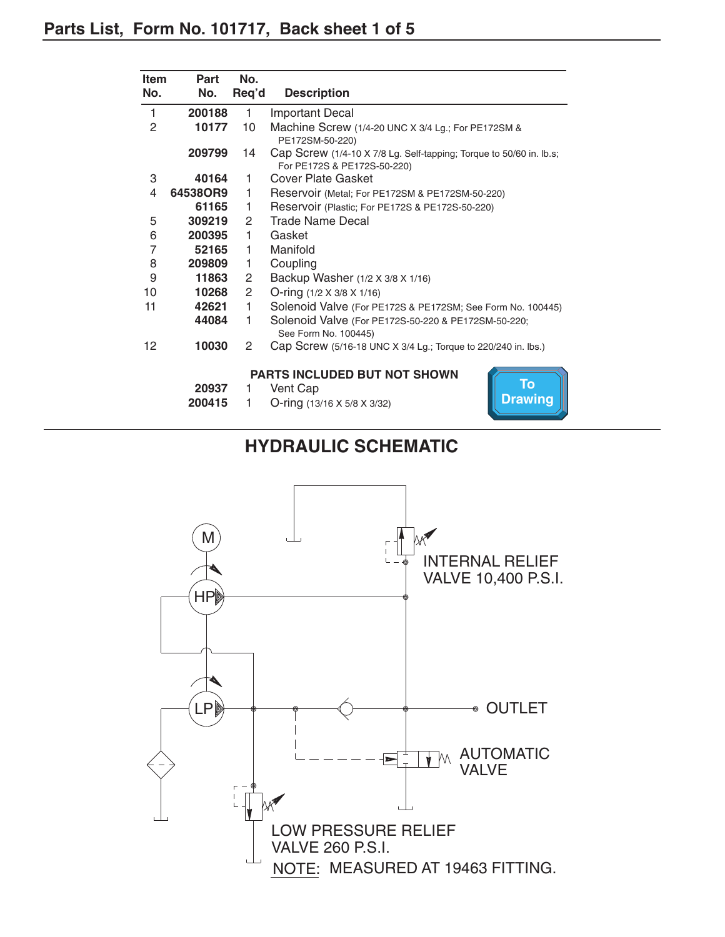| <b>Item</b>    | Part                                           | No.                                                             |                                                                                                    |  |
|----------------|------------------------------------------------|-----------------------------------------------------------------|----------------------------------------------------------------------------------------------------|--|
| No.            | No.                                            | Req'd                                                           | <b>Description</b>                                                                                 |  |
| 1              | 200188                                         | 1                                                               | <b>Important Decal</b>                                                                             |  |
| $\overline{2}$ | 10177                                          | 10                                                              | Machine Screw (1/4-20 UNC X 3/4 Lg.; For PE172SM &<br>PE172SM-50-220)                              |  |
|                | 209799                                         | 14                                                              | Cap Screw (1/4-10 X 7/8 Lg. Self-tapping; Torque to 50/60 in. lb.s;<br>For PE172S & PE172S-50-220) |  |
| 3              | 40164                                          | 1                                                               | <b>Cover Plate Gasket</b>                                                                          |  |
| 4              | 64538OR9                                       | 1                                                               | Reservoir (Metal; For PE172SM & PE172SM-50-220)                                                    |  |
|                | 61165                                          | 1                                                               | Reservoir (Plastic; For PE172S & PE172S-50-220)                                                    |  |
| 5              | 309219                                         | $\mathbf{2}^{\prime}$                                           | <b>Trade Name Decal</b>                                                                            |  |
| 6              | 200395                                         | 1.                                                              | Gasket                                                                                             |  |
| $\overline{7}$ | 52165                                          | 1                                                               | Manifold                                                                                           |  |
| 8              | 209809<br>Coupling<br>1                        |                                                                 |                                                                                                    |  |
| 9              | 11863<br>2<br>Backup Washer (1/2 X 3/8 X 1/16) |                                                                 |                                                                                                    |  |
| 10             | 10268                                          | $\mathbf{2}^{\prime}$                                           | O-ring $(1/2 \times 3/8 \times 1/16)$                                                              |  |
| 11             | 42621                                          | 1<br>Solenoid Valve (For PE172S & PE172SM; See Form No. 100445) |                                                                                                    |  |
|                | 44084                                          | 1                                                               | Solenoid Valve (For PE172S-50-220 & PE172SM-50-220;<br>See Form No. 100445)                        |  |
| 12             | 10030                                          | 2                                                               | Cap Screw (5/16-18 UNC X 3/4 Lg.; Torque to 220/240 in. lbs.)                                      |  |
|                |                                                |                                                                 | <b>PARTS INCLUDED BUT NOT SHOWN</b>                                                                |  |
|                | 20937                                          | 1                                                               | To<br>Vent Cap                                                                                     |  |
|                | 200415                                         | 1                                                               | <b>Drawing</b><br>O-ring (13/16 X 5/8 X 3/32)                                                      |  |

## **HYDRAULIC SCHEMATIC**

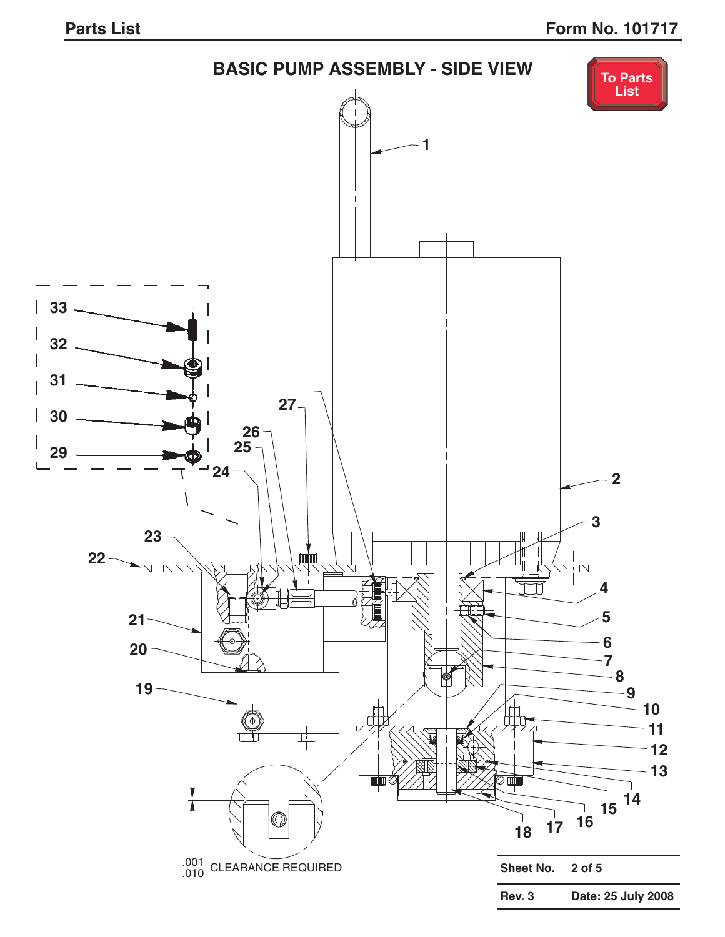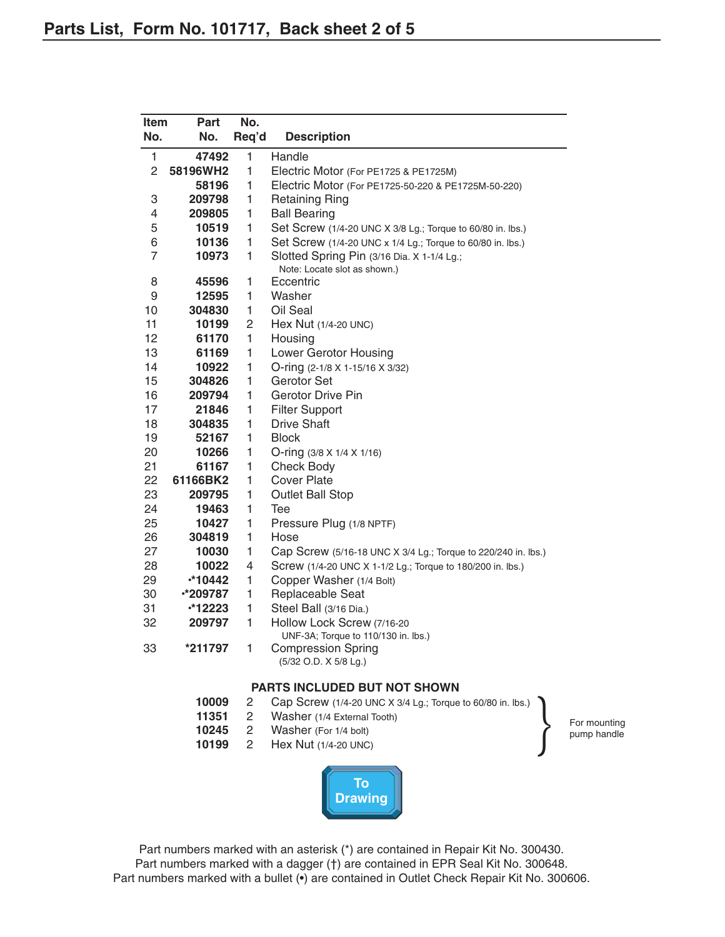| <b>Item</b>    | Part          | No.            |                                                                            |
|----------------|---------------|----------------|----------------------------------------------------------------------------|
| No.            | No.           | Req'd          | <b>Description</b>                                                         |
| 1              | 47492         | 1              | Handle                                                                     |
| $\overline{2}$ | 58196WH2      | $\mathbf{1}$   | Electric Motor (For PE1725 & PE1725M)                                      |
|                | 58196         | $\mathbf{1}$   | Electric Motor (For PE1725-50-220 & PE1725M-50-220)                        |
| 3              | 209798        | 1              | <b>Retaining Ring</b>                                                      |
| 4              | 209805        | 1              | <b>Ball Bearing</b>                                                        |
| 5              | 10519         | 1              | Set Screw (1/4-20 UNC X 3/8 Lg.; Torque to 60/80 in. lbs.)                 |
| 6              | 10136         | 1              | Set Screw (1/4-20 UNC x 1/4 Lg.; Torque to 60/80 in. lbs.)                 |
| $\overline{7}$ | 10973         | 1              | Slotted Spring Pin (3/16 Dia. X 1-1/4 Lg.;<br>Note: Locate slot as shown.) |
| 8              | 45596         | 1              | Eccentric                                                                  |
| 9              | 12595         | 1              | Washer                                                                     |
| 10             | 304830        | 1              | Oil Seal                                                                   |
| 11             | 10199         | $\overline{c}$ | Hex Nut (1/4-20 UNC)                                                       |
| 12             | 61170         | 1              | Housing                                                                    |
| 13             | 61169         | 1              | Lower Gerotor Housing                                                      |
| 14             | 10922         | 1              | O-ring (2-1/8 X 1-15/16 X 3/32)                                            |
| 15             | 304826        | 1              | Gerotor Set                                                                |
| 16             | 209794        | $\mathbf{1}$   | <b>Gerotor Drive Pin</b>                                                   |
| 17             | 21846         | 1              | <b>Filter Support</b>                                                      |
| 18             | 304835        | 1              | <b>Drive Shaft</b>                                                         |
| 19             | 52167         | 1              | <b>Block</b>                                                               |
| 20             | 10266         | 1              | O-ring (3/8 X 1/4 X 1/16)                                                  |
| 21             | 61167         | 1              | <b>Check Body</b>                                                          |
| 22             | 61166BK2      | 1              | <b>Cover Plate</b>                                                         |
| 23             | 209795        | 1              | <b>Outlet Ball Stop</b>                                                    |
| 24             | 19463         | 1              | Tee                                                                        |
| 25             | 10427         | 1              | Pressure Plug (1/8 NPTF)                                                   |
| 26             | 304819        | $\mathbf{1}$   | Hose                                                                       |
| 27             | 10030         | 1              | Cap Screw (5/16-18 UNC X 3/4 Lg.; Torque to 220/240 in. lbs.)              |
| 28             | 10022         | 4              | Screw (1/4-20 UNC X 1-1/2 Lg.; Torque to 180/200 in. lbs.)                 |
| 29             | $*10442$      | 1              | Copper Washer (1/4 Bolt)                                                   |
| 30             | •*209787      | $\mathbf{1}$   | Replaceable Seat                                                           |
| 31             | <b>*12223</b> | $\mathbf{1}$   | Steel Ball (3/16 Dia.)                                                     |
| 32             | 209797        | 1              | Hollow Lock Screw (7/16-20<br>UNF-3A; Torque to 110/130 in. lbs.)          |
| 33             | *211797       | 1              | <b>Compression Spring</b><br>(5/32 O.D. X 5/8 Lg.)                         |
|                |               |                | <b>PARTS INCLUDED BUT NOT SHOWN</b>                                        |
|                | 10009         | 2              | Cap Screw (1/4-20 UNC X 3/4 Lg.; Torque to 60/80 in. lbs.)                 |
|                |               |                |                                                                            |

- 2 Washer (1/4 External Tooth)
- **10245** 2 Washer (For 1/4 bolt)<br>**10199** 2 Hex Nut (1/4-20 UNC
- Hex Nut (1/4-20 UNC)



Part numbers marked with an asterisk (\*) are contained in Repair Kit No. 300430. Part numbers marked with a dagger (†) are contained in EPR Seal Kit No. 300648. Part numbers marked with a bullet ( $\bullet$ ) are contained in Outlet Check Repair Kit No. 300606.

For mounting pump handle

}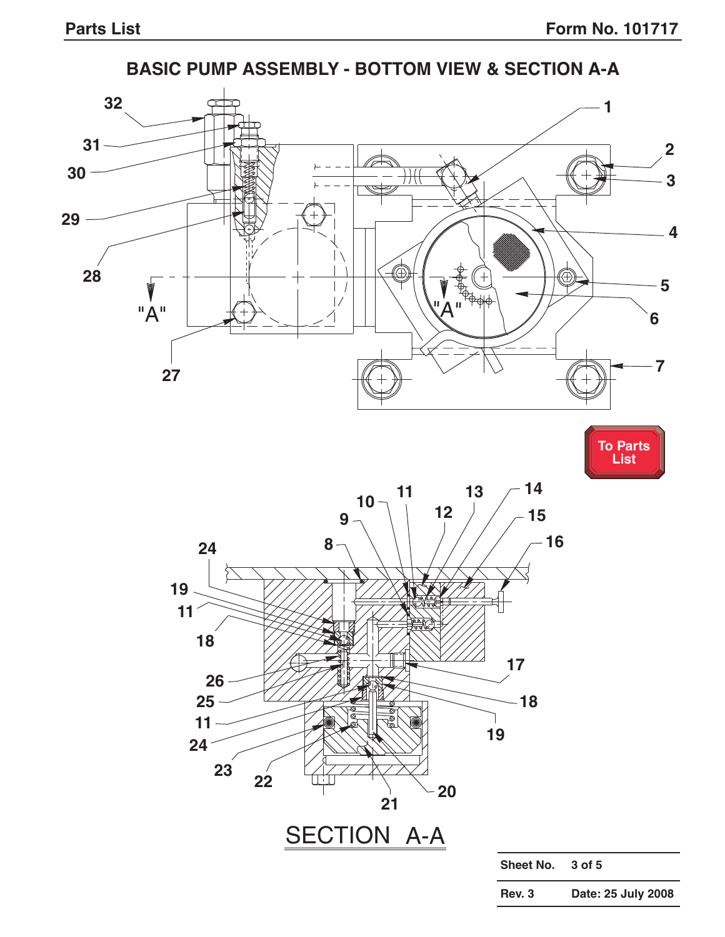**Rev. 3 Date: 25 July 2008**



## **BASIC PUMP ASSEMBLY - BOTTOM VIEW & SECTION A-A**

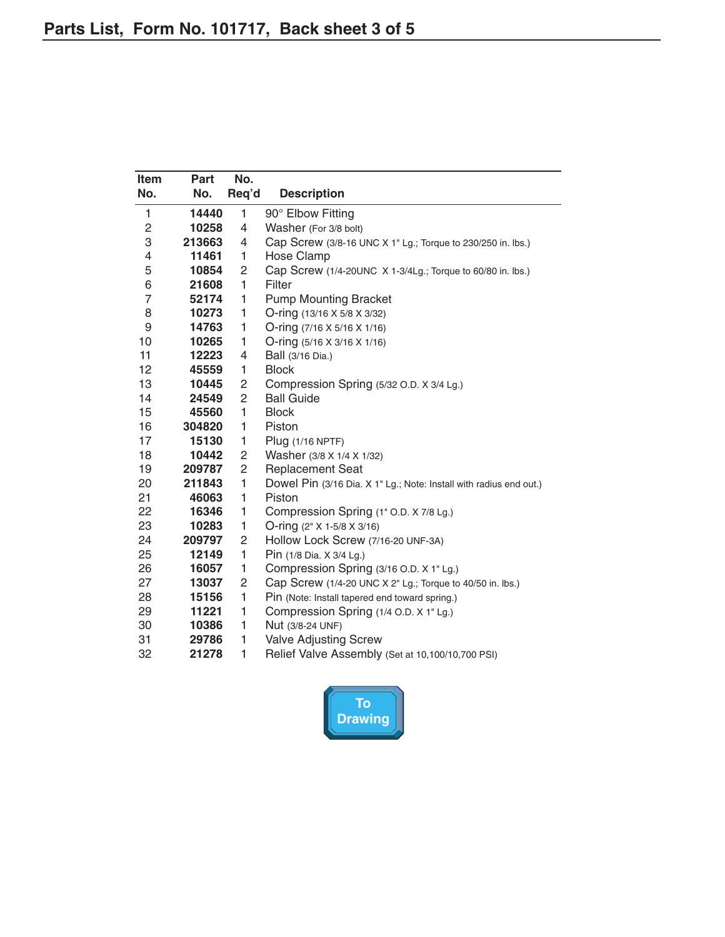| Item<br>No.    | Part   | No.            |                                                                    |
|----------------|--------|----------------|--------------------------------------------------------------------|
|                | No.    | Req'd          | <b>Description</b>                                                 |
| 1              | 14440  | 1              | 90° Elbow Fitting                                                  |
| 2              | 10258  | 4              | Washer (For 3/8 bolt)                                              |
| 3              | 213663 | 4              | Cap Screw (3/8-16 UNC X 1" Lg.; Torque to 230/250 in. lbs.)        |
| 4              | 11461  | 1              | Hose Clamp                                                         |
| 5              | 10854  | 2              | Cap Screw (1/4-20UNC X 1-3/4Lg.; Torque to 60/80 in. lbs.)         |
| 6              | 21608  | $\mathbf{1}$   | Filter                                                             |
| $\overline{7}$ | 52174  | 1              | <b>Pump Mounting Bracket</b>                                       |
| 8              | 10273  | 1              | O-ring (13/16 X 5/8 X 3/32)                                        |
| 9              | 14763  | 1              | O-ring $(7/16 \times 5/16 \times 1/16)$                            |
| 10             | 10265  | 1              | O-ring (5/16 X 3/16 X 1/16)                                        |
| 11             | 12223  | 4              | Ball (3/16 Dia.)                                                   |
| 12             | 45559  | 1              | <b>Block</b>                                                       |
| 13             | 10445  | 2              | Compression Spring (5/32 O.D. X 3/4 Lg.)                           |
| 14             | 24549  | $\overline{c}$ | <b>Ball Guide</b>                                                  |
| 15             | 45560  | 1              | <b>Block</b>                                                       |
| 16             | 304820 | 1              | Piston                                                             |
| 17             | 15130  | 1              | Plug (1/16 NPTF)                                                   |
| 18             | 10442  | 2              | Washer (3/8 X 1/4 X 1/32)                                          |
| 19             | 209787 | 2              | <b>Replacement Seat</b>                                            |
| 20             | 211843 | 1              | Dowel Pin (3/16 Dia. X 1" Lg.; Note: Install with radius end out.) |
| 21             | 46063  | 1              | Piston                                                             |
| 22             | 16346  | 1              | Compression Spring (1" O.D. X 7/8 Lg.)                             |
| 23             | 10283  | 1              | O-ring (2" X 1-5/8 X 3/16)                                         |
| 24             | 209797 | $\overline{c}$ | Hollow Lock Screw (7/16-20 UNF-3A)                                 |
| 25             | 12149  | 1              | Pin (1/8 Dia. X 3/4 Lg.)                                           |
| 26             | 16057  | 1              | Compression Spring (3/16 O.D. X 1" Lg.)                            |
| 27             | 13037  | 2              | Cap Screw (1/4-20 UNC X 2" Lg.; Torque to 40/50 in. lbs.)          |
| 28             | 15156  | 1              | Pin (Note: Install tapered end toward spring.)                     |
| 29             | 11221  | 1              | Compression Spring (1/4 O.D. X 1" Lg.)                             |
| 30             | 10386  | 1              | Nut (3/8-24 UNF)                                                   |
| 31             | 29786  | 1              | <b>Valve Adjusting Screw</b>                                       |
| 32             | 21278  | 1              | Relief Valve Assembly (Set at 10,100/10,700 PSI)                   |

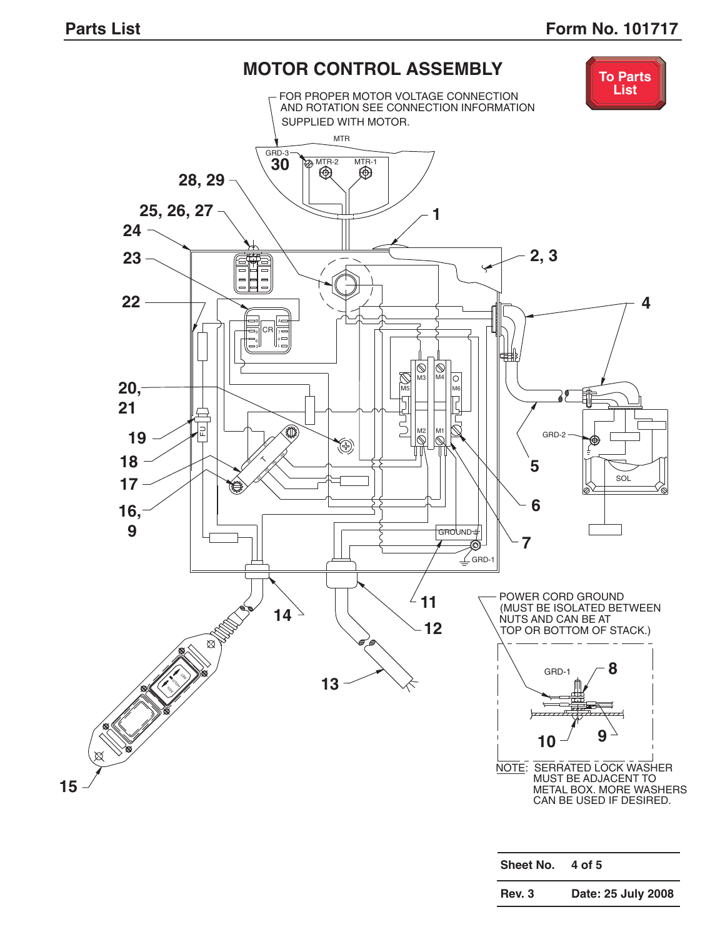

| Sheet No.     | 4 of 5             |
|---------------|--------------------|
| <b>Rev. 3</b> | Date: 25 July 2008 |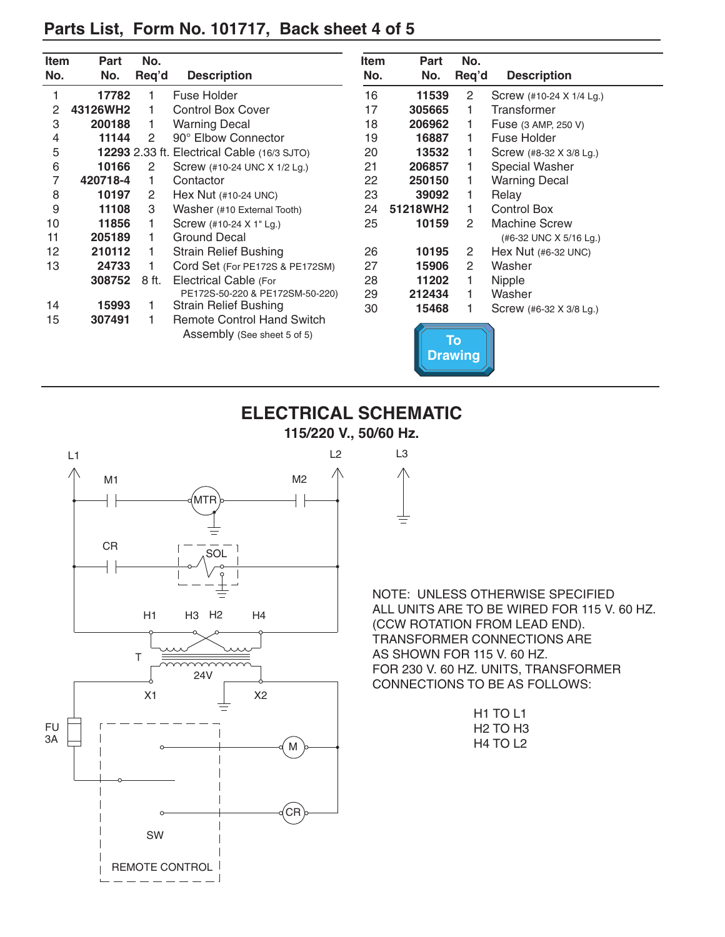## **Parts List, Form No. 101717, Back sheet 4 of 5**

| Item | <b>Part</b> | No.   |                                                    | Item | Part     | No.                         |                          |
|------|-------------|-------|----------------------------------------------------|------|----------|-----------------------------|--------------------------|
| No.  | No.         | Req'd | <b>Description</b>                                 | No.  | No.      | Req'd                       | <b>Description</b>       |
|      | 17782       |       | Fuse Holder                                        | 16   | 11539    | 2                           | Screw (#10-24 X 1/4 Lg.) |
| 2    | 43126WH2    |       | <b>Control Box Cover</b>                           | 17   | 305665   |                             | Transformer              |
| 3    | 200188      | 1.    | <b>Warning Decal</b>                               | 18   | 206962   |                             | Fuse (3 AMP, 250 V)      |
| 4    | 11144       | 2     | 90° Elbow Connector                                | 19   | 16887    |                             | Fuse Holder              |
| 5    |             |       | <b>12293</b> 2.33 ft. Electrical Cable (16/3 SJTO) | 20   | 13532    |                             | Screw (#8-32 X 3/8 Lg.)  |
| 6    | 10166       | 2     | Screw (#10-24 UNC X 1/2 Lg.)                       | 21   | 206857   |                             | Special Washer           |
| 7    | 420718-4    | 1.    | Contactor                                          | 22   | 250150   |                             | <b>Warning Decal</b>     |
| 8    | 10197       | 2     | Hex Nut (#10-24 UNC)                               | 23   | 39092    |                             | Relay                    |
| 9    | 11108       | 3     | Washer (#10 External Tooth)                        | 24   | 51218WH2 |                             | Control Box              |
| 10   | 11856       |       | Screw (#10-24 X 1" Lg.)                            | 25   | 10159    | 2                           | <b>Machine Screw</b>     |
| 11   | 205189      |       | Ground Decal                                       |      |          |                             | (#6-32 UNC X 5/16 Lg.)   |
| 12   | 210112      |       | <b>Strain Relief Bushing</b>                       | 26   | 10195    | $\overline{2}$              | Hex Nut $(H6-32$ UNC)    |
| 13   | 24733       |       | Cord Set (For PE172S & PE172SM)                    | 27   | 15906    | $\mathbf{2}^{\prime}$       | Washer                   |
|      | 308752      | 8 ft. | Electrical Cable (For                              | 28   | 11202    |                             | Nipple                   |
|      |             |       | PE172S-50-220 & PE172SM-50-220)                    | 29   | 212434   |                             | Washer                   |
| 14   | 15993       |       | <b>Strain Relief Bushing</b>                       | 30   | 15468    |                             | Screw (#6-32 X 3/8 Lg.)  |
| 15   | 307491      |       | <b>Remote Control Hand Switch</b>                  |      |          |                             |                          |
|      |             |       | Assembly (See sheet 5 of 5)                        |      |          | <b>To</b><br><b>Drawing</b> |                          |





NOTE: UNLESS OTHERWISE SPECIFIED ALL UNITS ARE TO BE WIRED FOR 115 V. 60 HZ. (CCW ROTATION FROM LEAD END). TRANSFORMER CONNECTIONS ARE AS SHOWN FOR 115 V. 60 HZ. FOR 230 V. 60 HZ. UNITS, TRANSFORMER CONNECTIONS TO BE AS FOLLOWS:

| H1 TO L1 |  |
|----------|--|
| H2 TO H3 |  |
| H4 TO L2 |  |